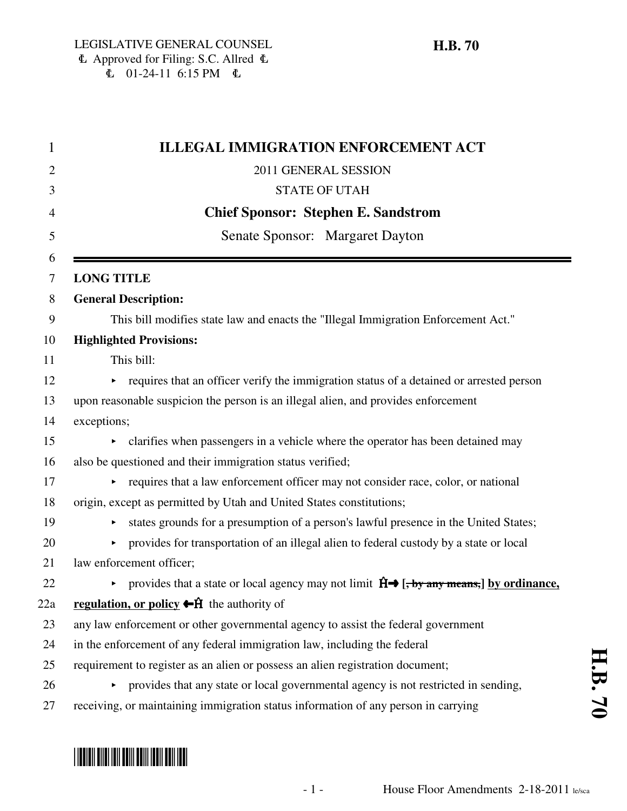| 1              | <b>ILLEGAL IMMIGRATION ENFORCEMENT ACT</b>                                                                  |  |  |
|----------------|-------------------------------------------------------------------------------------------------------------|--|--|
| $\overline{2}$ | 2011 GENERAL SESSION                                                                                        |  |  |
| 3              | <b>STATE OF UTAH</b>                                                                                        |  |  |
| $\overline{4}$ | <b>Chief Sponsor: Stephen E. Sandstrom</b>                                                                  |  |  |
| 5              | Senate Sponsor: Margaret Dayton                                                                             |  |  |
| 6<br>7         | <b>LONG TITLE</b>                                                                                           |  |  |
| 8              | <b>General Description:</b>                                                                                 |  |  |
| 9              | This bill modifies state law and enacts the "Illegal Immigration Enforcement Act."                          |  |  |
| 10             | <b>Highlighted Provisions:</b>                                                                              |  |  |
| 11             | This bill:                                                                                                  |  |  |
| 12             | • requires that an officer verify the immigration status of a detained or arrested person                   |  |  |
| 13             | upon reasonable suspicion the person is an illegal alien, and provides enforcement                          |  |  |
| 14             | exceptions;                                                                                                 |  |  |
| 15             | clarifies when passengers in a vehicle where the operator has been detained may                             |  |  |
| 16             | also be questioned and their immigration status verified;                                                   |  |  |
| 17             | requires that a law enforcement officer may not consider race, color, or national<br>▶.                     |  |  |
| 18             | origin, except as permitted by Utah and United States constitutions;                                        |  |  |
| 19             | states grounds for a presumption of a person's lawful presence in the United States;<br>▶                   |  |  |
| 20             | provides for transportation of an illegal alien to federal custody by a state or local<br>Þ.                |  |  |
| 21             | law enforcement officer;                                                                                    |  |  |
| 22             | provides that a state or local agency may not limit $\hat{H} \rightarrow$ [, by any means,] by ordinance,   |  |  |
| 22a            | <b>regulation, or policy <math>\leftarrow \hat{H}</math></b> the authority of                               |  |  |
| 23             | any law enforcement or other governmental agency to assist the federal government                           |  |  |
| 24             | in the enforcement of any federal immigration law, including the federal                                    |  |  |
| 25             | requirement to register as an alien or possess an alien registration document;                              |  |  |
| 26             | provides that any state or local governmental agency is not restricted in sending,<br>$\blacktriangleright$ |  |  |
| 27             | receiving, or maintaining immigration status information of any person in carrying                          |  |  |

# \*HB0070\*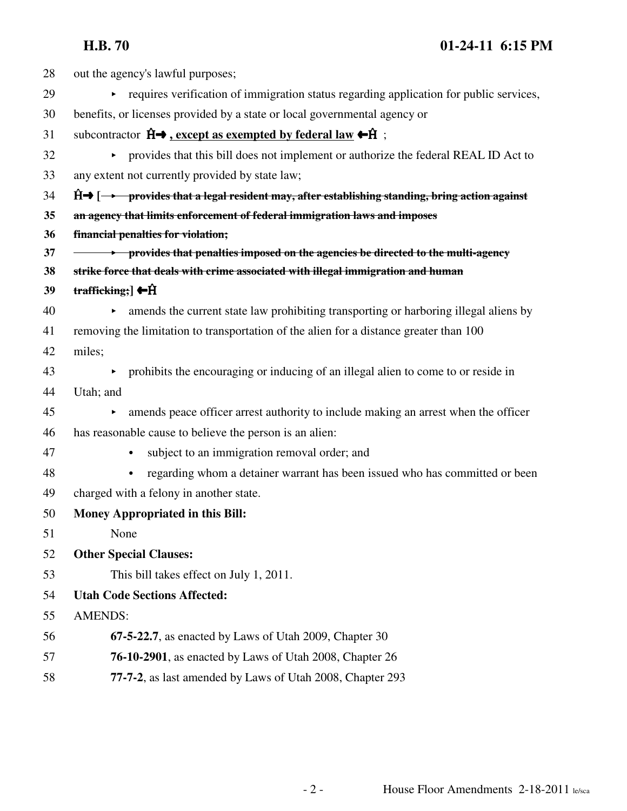| 28 | out the agency's lawful purposes;                                                                                           |
|----|-----------------------------------------------------------------------------------------------------------------------------|
| 29 | • requires verification of immigration status regarding application for public services,                                    |
| 30 | benefits, or licenses provided by a state or local governmental agency or                                                   |
| 31 | subcontractor $\hat{H} \rightarrow$ , except as exempted by federal law $\leftarrow \hat{H}$ ;                              |
| 32 | • provides that this bill does not implement or authorize the federal REAL ID Act to                                        |
| 33 | any extent not currently provided by state law;                                                                             |
| 34 | $\hat{H}$ $\rightarrow$ $\rightarrow$ provides that a legal resident may, after establishing standing, bring action against |
| 35 | an agency that limits enforcement of federal immigration laws and imposes                                                   |
| 36 | financial penalties for violation;                                                                                          |
| 37 | <b>→</b> provides that penalties imposed on the agencies be directed to the multi-agency                                    |
| 38 | strike force that deals with crime associated with illegal immigration and human                                            |
| 39 | trafficking; $\leftarrow$ $\hat{H}$                                                                                         |
| 40 | amends the current state law prohibiting transporting or harboring illegal aliens by<br>$\blacktriangleright$               |
| 41 | removing the limitation to transportation of the alien for a distance greater than 100                                      |
| 42 | miles;                                                                                                                      |
| 43 | prohibits the encouraging or inducing of an illegal alien to come to or reside in<br>$\blacktriangleright$                  |
| 44 | Utah; and                                                                                                                   |
| 45 | amends peace officer arrest authority to include making an arrest when the officer<br>Þ.                                    |
| 46 | has reasonable cause to believe the person is an alien:                                                                     |
| 47 | subject to an immigration removal order; and                                                                                |
| 48 | regarding whom a detainer warrant has been issued who has committed or been<br>$\bullet$                                    |
| 49 | charged with a felony in another state.                                                                                     |
| 50 | <b>Money Appropriated in this Bill:</b>                                                                                     |
| 51 | None                                                                                                                        |
| 52 | <b>Other Special Clauses:</b>                                                                                               |
| 53 | This bill takes effect on July 1, 2011.                                                                                     |
| 54 | <b>Utah Code Sections Affected:</b>                                                                                         |
| 55 | <b>AMENDS:</b>                                                                                                              |
| 56 | 67-5-22.7, as enacted by Laws of Utah 2009, Chapter 30                                                                      |
| 57 | <b>76-10-2901</b> , as enacted by Laws of Utah 2008, Chapter 26                                                             |
| 58 | 77-7-2, as last amended by Laws of Utah 2008, Chapter 293                                                                   |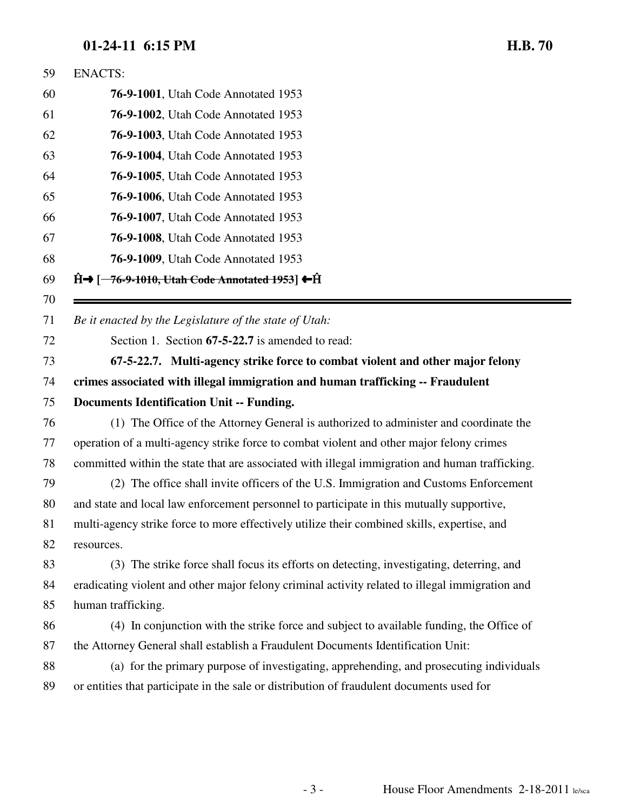| 59 | <b>ENACTS:</b>                                                                                  |  |  |  |
|----|-------------------------------------------------------------------------------------------------|--|--|--|
| 60 | 76-9-1001, Utah Code Annotated 1953                                                             |  |  |  |
| 61 | 76-9-1002, Utah Code Annotated 1953                                                             |  |  |  |
| 62 | <b>76-9-1003</b> , Utah Code Annotated 1953                                                     |  |  |  |
| 63 | 76-9-1004, Utah Code Annotated 1953                                                             |  |  |  |
| 64 | 76-9-1005, Utah Code Annotated 1953                                                             |  |  |  |
| 65 | <b>76-9-1006</b> , Utah Code Annotated 1953                                                     |  |  |  |
| 66 | <b>76-9-1007</b> , Utah Code Annotated 1953                                                     |  |  |  |
| 67 | 76-9-1008, Utah Code Annotated 1953                                                             |  |  |  |
| 68 | 76-9-1009, Utah Code Annotated 1953                                                             |  |  |  |
| 69 | $\hat{H}$ $\rightarrow$ [-76-9-1010, Utah Code Annotated 1953] $\leftarrow$ $\hat{H}$           |  |  |  |
| 70 |                                                                                                 |  |  |  |
| 71 | Be it enacted by the Legislature of the state of Utah:                                          |  |  |  |
| 72 | Section 1. Section 67-5-22.7 is amended to read:                                                |  |  |  |
| 73 | 67-5-22.7. Multi-agency strike force to combat violent and other major felony                   |  |  |  |
| 74 | crimes associated with illegal immigration and human trafficking -- Fraudulent                  |  |  |  |
| 75 | <b>Documents Identification Unit -- Funding.</b>                                                |  |  |  |
| 76 | (1) The Office of the Attorney General is authorized to administer and coordinate the           |  |  |  |
| 77 | operation of a multi-agency strike force to combat violent and other major felony crimes        |  |  |  |
| 78 | committed within the state that are associated with illegal immigration and human trafficking.  |  |  |  |
| 79 | (2) The office shall invite officers of the U.S. Immigration and Customs Enforcement            |  |  |  |
| 80 | and state and local law enforcement personnel to participate in this mutually supportive,       |  |  |  |
| 81 | multi-agency strike force to more effectively utilize their combined skills, expertise, and     |  |  |  |
| 82 | resources.                                                                                      |  |  |  |
| 83 | (3) The strike force shall focus its efforts on detecting, investigating, deterring, and        |  |  |  |
| 84 | eradicating violent and other major felony criminal activity related to illegal immigration and |  |  |  |
| 85 | human trafficking.                                                                              |  |  |  |
| 86 | (4) In conjunction with the strike force and subject to available funding, the Office of        |  |  |  |
| 87 | the Attorney General shall establish a Fraudulent Documents Identification Unit:                |  |  |  |
| 88 | (a) for the primary purpose of investigating, apprehending, and prosecuting individuals         |  |  |  |
|    | or entities that participate in the sale or distribution of fraudulent documents used for       |  |  |  |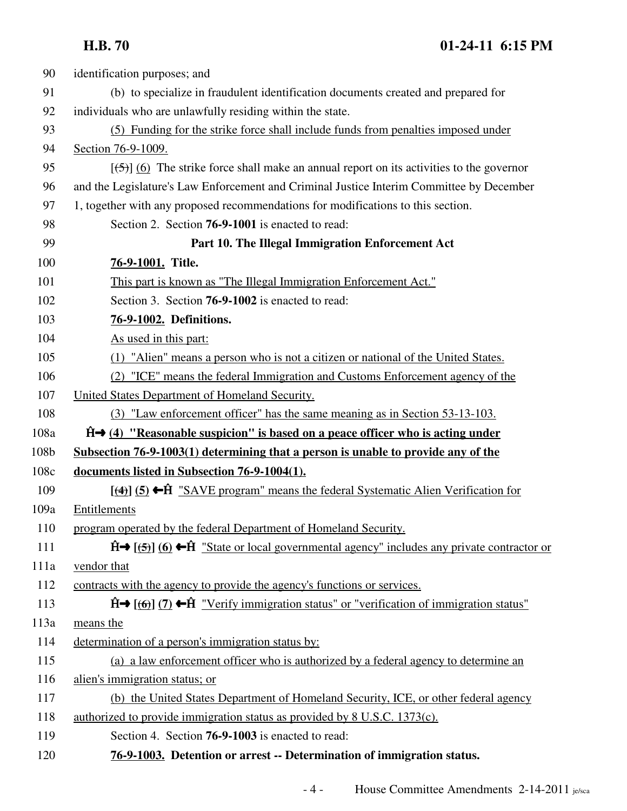| 90   | identification purposes; and                                                                                     |  |  |
|------|------------------------------------------------------------------------------------------------------------------|--|--|
| 91   | (b) to specialize in fraudulent identification documents created and prepared for                                |  |  |
| 92   | individuals who are unlawfully residing within the state.                                                        |  |  |
| 93   | (5) Funding for the strike force shall include funds from penalties imposed under                                |  |  |
| 94   | Section 76-9-1009.                                                                                               |  |  |
| 95   | $[\frac{1}{2}, \frac{1}{2}]$ (6) The strike force shall make an annual report on its activities to the governor  |  |  |
| 96   | and the Legislature's Law Enforcement and Criminal Justice Interim Committee by December                         |  |  |
| 97   | 1, together with any proposed recommendations for modifications to this section.                                 |  |  |
| 98   | Section 2. Section <b>76-9-1001</b> is enacted to read:                                                          |  |  |
| 99   | Part 10. The Illegal Immigration Enforcement Act                                                                 |  |  |
| 100  | 76-9-1001. Title.                                                                                                |  |  |
| 101  | This part is known as "The Illegal Immigration Enforcement Act."                                                 |  |  |
| 102  | Section 3. Section 76-9-1002 is enacted to read:                                                                 |  |  |
| 103  | 76-9-1002. Definitions.                                                                                          |  |  |
| 104  | As used in this part:                                                                                            |  |  |
| 105  | (1) "Alien" means a person who is not a citizen or national of the United States.                                |  |  |
| 106  | (2) "ICE" means the federal Immigration and Customs Enforcement agency of the                                    |  |  |
| 107  | United States Department of Homeland Security.                                                                   |  |  |
| 108  | (3) "Law enforcement officer" has the same meaning as in Section 53-13-103.                                      |  |  |
| 108a | $\hat{H} \rightarrow (4)$ "Reasonable suspicion" is based on a peace officer who is acting under                 |  |  |
| 108b | Subsection 76-9-1003(1) determining that a person is unable to provide any of the                                |  |  |
| 108c | documents listed in Subsection 76-9-1004(1).                                                                     |  |  |
| 109  | $[$ (4) (5) ← $\hat{H}$ "SAVE program" means the federal Systematic Alien Verification for                       |  |  |
| 109a | Entitlements                                                                                                     |  |  |
| 110  | program operated by the federal Department of Homeland Security.                                                 |  |  |
| 111  | $\hat{H}$ [(5)] (6) $\leftarrow \hat{H}$ "State or local governmental agency" includes any private contractor or |  |  |
| 111a | vendor that                                                                                                      |  |  |
| 112  | contracts with the agency to provide the agency's functions or services.                                         |  |  |
| 113  | $\hat{H}$ (6) (7) $\leftarrow \hat{H}$ "Verify immigration status" or "verification of immigration status"       |  |  |
| 113a | means the                                                                                                        |  |  |
| 114  | determination of a person's immigration status by:                                                               |  |  |
| 115  | (a) a law enforcement officer who is authorized by a federal agency to determine an                              |  |  |
| 116  | alien's immigration status; or                                                                                   |  |  |
| 117  | (b) the United States Department of Homeland Security, ICE, or other federal agency                              |  |  |
| 118  | authorized to provide immigration status as provided by 8 U.S.C. 1373(c).                                        |  |  |
| 119  | Section 4. Section <b>76-9-1003</b> is enacted to read:                                                          |  |  |
| 120  | 76-9-1003. Detention or arrest -- Determination of immigration status.                                           |  |  |
|      |                                                                                                                  |  |  |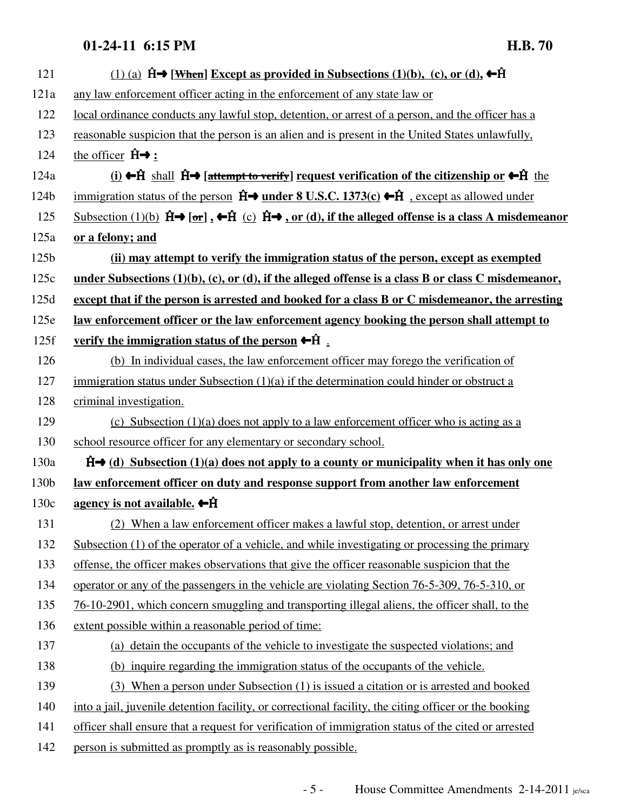| 121              | (1) (a) $\hat{H}$ → [When] Except as provided in Subsections (1)(b), (c), or (d), ← $\hat{H}$                                                                                       |  |  |  |
|------------------|-------------------------------------------------------------------------------------------------------------------------------------------------------------------------------------|--|--|--|
| 121a             | any law enforcement officer acting in the enforcement of any state law or                                                                                                           |  |  |  |
| 122              | local ordinance conducts any lawful stop, detention, or arrest of a person, and the officer has a                                                                                   |  |  |  |
| 123              | reasonable suspicion that the person is an alien and is present in the United States unlawfully,                                                                                    |  |  |  |
| 124              | the officer $\hat{H} \rightarrow$ :                                                                                                                                                 |  |  |  |
| 124a             | <u>(i)</u> ← ft shall $\hat{H}$ → [attempt to verify] request verification of the citizenship or ← ft the                                                                           |  |  |  |
| 124b             | immigration status of the person $\hat{H}$ <b>under 8 U.S.C.</b> 1373(c) $\leftarrow \hat{H}$ , except as allowed under                                                             |  |  |  |
| 125              | Subsection (1)(b) $\hat{H} \rightarrow [\hat{\sigma} \hat{r}]$ , $\leftarrow \hat{H}$ (c) $\hat{H} \rightarrow \sigma \hat{r}$ (d), if the alleged offense is a class A misdemeanor |  |  |  |
| 125a             | or a felony; and                                                                                                                                                                    |  |  |  |
| 125 <sub>b</sub> | (ii) may attempt to verify the immigration status of the person, except as exempted                                                                                                 |  |  |  |
| 125c             | under Subsections $(1)(b)$ , $(c)$ , or $(d)$ , if the alleged offense is a class B or class C misdemeanor,                                                                         |  |  |  |
| 125d             | except that if the person is arrested and booked for a class B or C misdemeanor, the arresting                                                                                      |  |  |  |
| 125e             | law enforcement officer or the law enforcement agency booking the person shall attempt to                                                                                           |  |  |  |
| 125f             | verify the immigration status of the person $\leftarrow \hat{H}$ .                                                                                                                  |  |  |  |
| 126              | (b) In individual cases, the law enforcement officer may forego the verification of                                                                                                 |  |  |  |
| 127              | immigration status under Subsection $(1)(a)$ if the determination could hinder or obstruct a                                                                                        |  |  |  |
| 128              | criminal investigation.                                                                                                                                                             |  |  |  |
| 129              | (c) Subsection $(1)(a)$ does not apply to a law enforcement officer who is acting as a                                                                                              |  |  |  |
| 130              | school resource officer for any elementary or secondary school.                                                                                                                     |  |  |  |
| 130a             | $\hat{H}$ (d) Subsection (1)(a) does not apply to a county or municipality when it has only one                                                                                     |  |  |  |
| 130b             | <u>law enforcement officer on duty and response support from another law enforcement</u>                                                                                            |  |  |  |
| 130c             | agency is not available. $\leftarrow \hat{H}$                                                                                                                                       |  |  |  |
| 131              | (2) When a law enforcement officer makes a lawful stop, detention, or arrest under                                                                                                  |  |  |  |
| 132              | Subsection $(1)$ of the operator of a vehicle, and while investigating or processing the primary                                                                                    |  |  |  |
| 133              | offense, the officer makes observations that give the officer reasonable suspicion that the                                                                                         |  |  |  |
| 134              | operator or any of the passengers in the vehicle are violating Section 76-5-309, 76-5-310, or                                                                                       |  |  |  |
| 135              | 76-10-2901, which concern smuggling and transporting illegal aliens, the officer shall, to the                                                                                      |  |  |  |
| 136              | extent possible within a reasonable period of time:                                                                                                                                 |  |  |  |
| 137              | (a) detain the occupants of the vehicle to investigate the suspected violations; and                                                                                                |  |  |  |
| 138              | (b) inquire regarding the immigration status of the occupants of the vehicle.                                                                                                       |  |  |  |
| 139              | (3) When a person under Subsection (1) is issued a citation or is arrested and booked                                                                                               |  |  |  |
| 140              | into a jail, juvenile detention facility, or correctional facility, the citing officer or the booking                                                                               |  |  |  |
| 141              | officer shall ensure that a request for verification of immigration status of the cited or arrested                                                                                 |  |  |  |
| 142              | person is submitted as promptly as is reasonably possible.                                                                                                                          |  |  |  |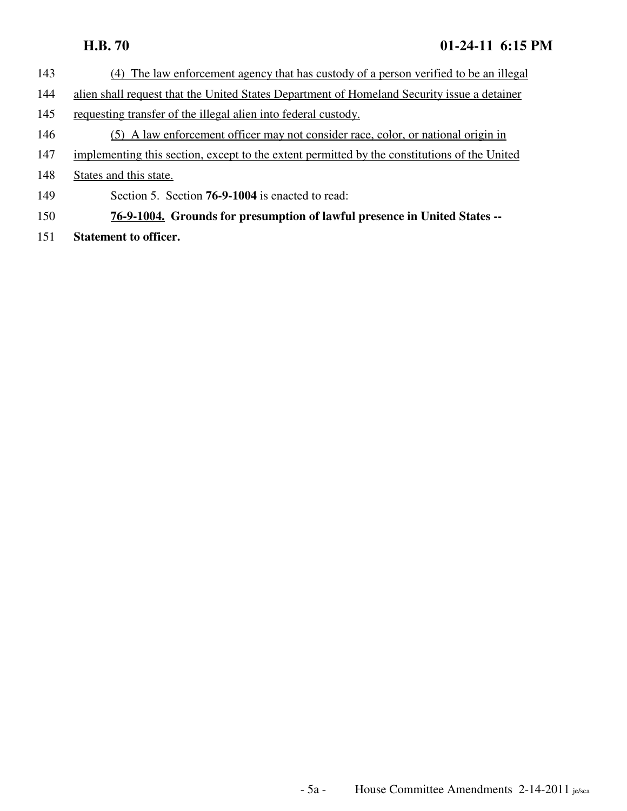- 143 (4) The law enforcement agency that has custody of a person verified to be an illegal
- 144 alien shall request that the United States Department of Homeland Security issue a detainer
- 145 requesting transfer of the illegal alien into federal custody.
- 146 (5) A law enforcement officer may not consider race, color, or national origin in
- 147 implementing this section, except to the extent permitted by the constitutions of the United
- 148 States and this state.
- 149 Section 5. Section **76-9-1004** is enacted to read:
- 150 **76-9-1004. Grounds for presumption of lawful presence in United States --**
- 151 **Statement to officer.**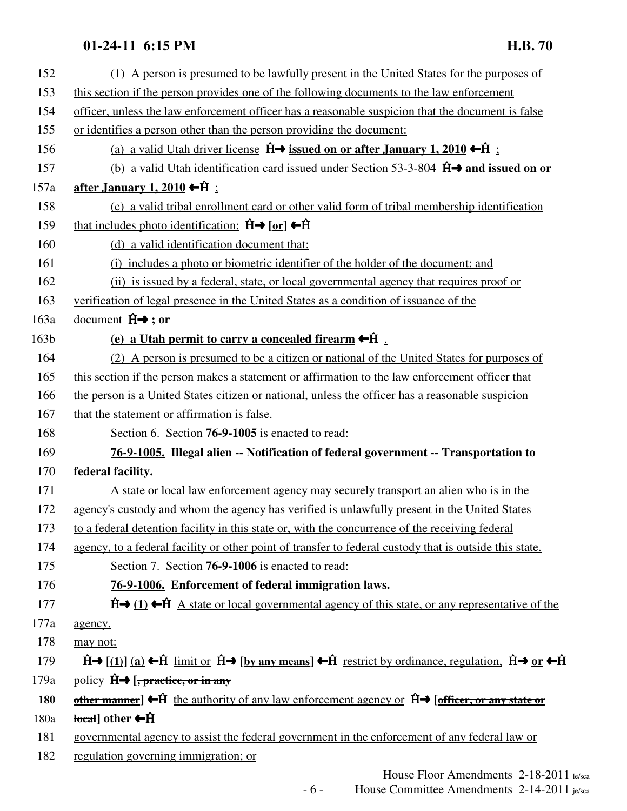| (1) A person is presumed to be lawfully present in the United States for the purposes of                                                                                                        |
|-------------------------------------------------------------------------------------------------------------------------------------------------------------------------------------------------|
| this section if the person provides one of the following documents to the law enforcement                                                                                                       |
| officer, unless the law enforcement officer has a reasonable suspicion that the document is false                                                                                               |
| or identifies a person other than the person providing the document:                                                                                                                            |
| (a) a valid Utah driver license $\hat{H} \rightarrow$ issued on or after January 1, 2010 $\leftarrow \hat{H}$ :                                                                                 |
| (b) a valid Utah identification card issued under Section 53-3-804 $\hat{H}$ and issued on or                                                                                                   |
| <u>after January 1, 2010</u> ← $\hat{H}$ :                                                                                                                                                      |
| (c) a valid tribal enrollment card or other valid form of tribal membership identification                                                                                                      |
| that includes photo identification: $\hat{H} \rightarrow [\hat{\sigma} \hat{r}] \leftarrow \hat{H}$                                                                                             |
| (d) a valid identification document that:                                                                                                                                                       |
| (i) includes a photo or biometric identifier of the holder of the document; and                                                                                                                 |
| (ii) is issued by a federal, state, or local governmental agency that requires proof or                                                                                                         |
| verification of legal presence in the United States as a condition of issuance of the                                                                                                           |
| document $\hat{H} \rightarrow$ ; or                                                                                                                                                             |
| (e) a Utah permit to carry a concealed firearm $\leftarrow$ $\hat{H}$ .                                                                                                                         |
| (2) A person is presumed to be a citizen or national of the United States for purposes of                                                                                                       |
| this section if the person makes a statement or affirmation to the law enforcement officer that                                                                                                 |
| the person is a United States citizen or national, unless the officer has a reasonable suspicion                                                                                                |
| that the statement or affirmation is false.                                                                                                                                                     |
| Section 6. Section 76-9-1005 is enacted to read:                                                                                                                                                |
| 76-9-1005. Illegal alien -- Notification of federal government -- Transportation to                                                                                                             |
| federal facility.                                                                                                                                                                               |
| A state or local law enforcement agency may securely transport an alien who is in the                                                                                                           |
| agency's custody and whom the agency has verified is unlawfully present in the United States                                                                                                    |
| to a federal detention facility in this state or, with the concurrence of the receiving federal                                                                                                 |
| agency, to a federal facility or other point of transfer to federal custody that is outside this state.                                                                                         |
| Section 7. Section <b>76-9-1006</b> is enacted to read:                                                                                                                                         |
| 76-9-1006. Enforcement of federal immigration laws.                                                                                                                                             |
| $\hat{H}$ (1) $\leftarrow$ $\hat{H}$ A state or local governmental agency of this state, or any representative of the                                                                           |
| agency,                                                                                                                                                                                         |
| may not:                                                                                                                                                                                        |
| $\hat{H}$ ((1) (a) $\leftarrow \hat{H}$ limit or $\hat{H}$ $\rightarrow$ [by any means] $\leftarrow \hat{H}$ restrict by ordinance, regulation, $\hat{H}$ $\rightarrow$ or $\leftarrow \hat{H}$ |
| policy $\hat{H} \rightarrow$ [, practice, or in any                                                                                                                                             |
| other manner] $\bigoplus$ the authority of any law enforcement agency or $\hat{H} \rightarrow$ [officer, or any state or                                                                        |
| $\frac{local}{b}$ other $\leftarrow$ H                                                                                                                                                          |
| governmental agency to assist the federal government in the enforcement of any federal law or                                                                                                   |
| regulation governing immigration; or                                                                                                                                                            |
|                                                                                                                                                                                                 |

House Floor Amendments 2-18-2011 le/sca - 6 - House Committee Amendments 2-14-2011 je/sca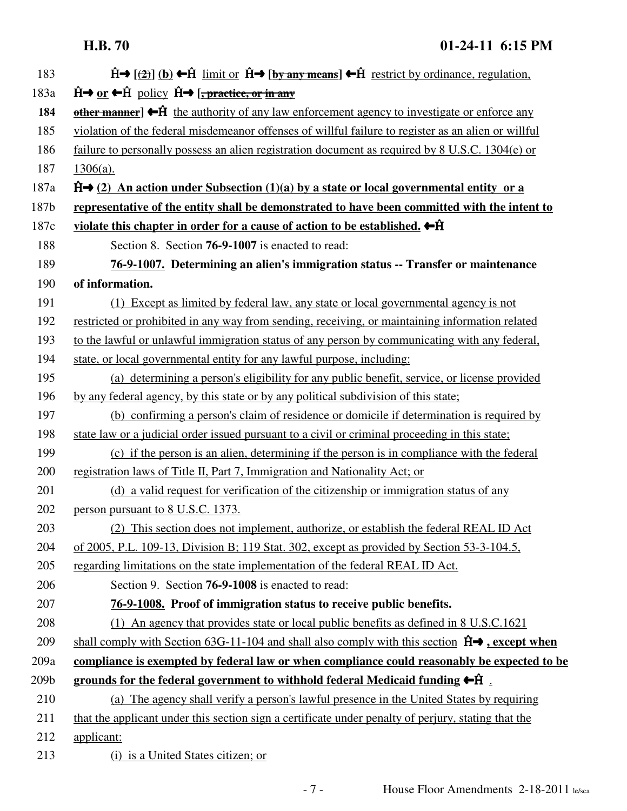| 183  | $\hat{H}$ ( $\left(\frac{2}{2}\right)$ (b) $\leftarrow \hat{H}$ limit or $\hat{H} \rightarrow$ [by any means] $\leftarrow \hat{H}$ restrict by ordinance, regulation, |
|------|-----------------------------------------------------------------------------------------------------------------------------------------------------------------------|
| 183a | $\hat{H} \rightarrow \text{or} \leftarrow \hat{H}$ policy $\hat{H} \rightarrow [\text{, practice, or in any}]$                                                        |
| 184  | other manner] $\bigoplus$ the authority of any law enforcement agency to investigate or enforce any                                                                   |
| 185  | violation of the federal misdemeanor offenses of willful failure to register as an alien or willful                                                                   |
| 186  | failure to personally possess an alien registration document as required by 8 U.S.C. 1304(e) or                                                                       |
| 187  | $1306(a)$ .                                                                                                                                                           |
| 187a | $\hat{H}$ (2) An action under Subsection (1)(a) by a state or local governmental entity or a                                                                          |
| 187b | representative of the entity shall be demonstrated to have been committed with the intent to                                                                          |
| 187c | violate this chapter in order for a cause of action to be established. $\leftarrow \hat{H}$                                                                           |
| 188  | Section 8. Section <b>76-9-1007</b> is enacted to read:                                                                                                               |
| 189  | 76-9-1007. Determining an alien's immigration status -- Transfer or maintenance                                                                                       |
| 190  | of information.                                                                                                                                                       |
| 191  | (1) Except as limited by federal law, any state or local governmental agency is not                                                                                   |
| 192  | restricted or prohibited in any way from sending, receiving, or maintaining information related                                                                       |
| 193  | to the lawful or unlawful immigration status of any person by communicating with any federal,                                                                         |
| 194  | state, or local governmental entity for any lawful purpose, including:                                                                                                |
| 195  | (a) determining a person's eligibility for any public benefit, service, or license provided                                                                           |
| 196  | by any federal agency, by this state or by any political subdivision of this state;                                                                                   |
| 197  | (b) confirming a person's claim of residence or domicile if determination is required by                                                                              |
| 198  | state law or a judicial order issued pursuant to a civil or criminal proceeding in this state;                                                                        |
| 199  | (c) if the person is an alien, determining if the person is in compliance with the federal                                                                            |
| 200  | registration laws of Title II, Part 7, Immigration and Nationality Act; or                                                                                            |
| 201  | (d) a valid request for verification of the citizenship or immigration status of any                                                                                  |
| 202  | person pursuant to 8 U.S.C. 1373.                                                                                                                                     |
| 203  | (2) This section does not implement, authorize, or establish the federal REAL ID Act                                                                                  |
| 204  | of 2005, P.L. 109-13, Division B; 119 Stat. 302, except as provided by Section 53-3-104.5,                                                                            |
| 205  | regarding limitations on the state implementation of the federal REAL ID Act.                                                                                         |
| 206  | Section 9. Section <b>76-9-1008</b> is enacted to read:                                                                                                               |
| 207  | 76-9-1008. Proof of immigration status to receive public benefits.                                                                                                    |
| 208  | (1) An agency that provides state or local public benefits as defined in 8 U.S.C.1621                                                                                 |
| 209  | shall comply with Section 63G-11-104 and shall also comply with this section $\hat{H} \rightarrow$ , except when                                                      |
| 209a | compliance is exempted by federal law or when compliance could reasonably be expected to be                                                                           |
| 209b | grounds for the federal government to withhold federal Medicaid funding $\leftarrow$ $\hat{H}$ .                                                                      |
| 210  | (a) The agency shall verify a person's lawful presence in the United States by requiring                                                                              |
| 211  | that the applicant under this section sign a certificate under penalty of perjury, stating that the                                                                   |
| 212  | applicant:                                                                                                                                                            |
| 213  | (i) is a United States citizen; or                                                                                                                                    |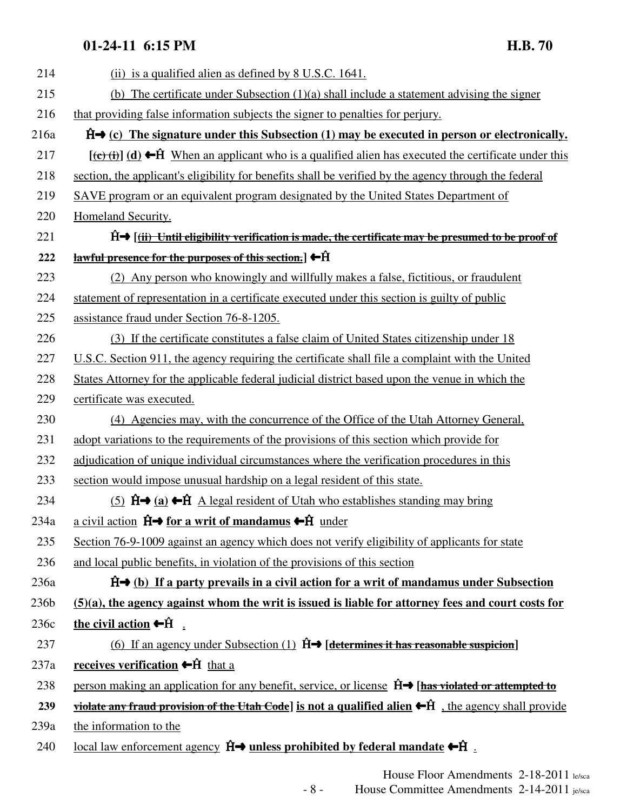| 214  | (ii) is a qualified alien as defined by 8 U.S.C. 1641.                                                                                           |  |  |  |
|------|--------------------------------------------------------------------------------------------------------------------------------------------------|--|--|--|
| 215  | (b) The certificate under Subsection $(1)(a)$ shall include a statement advising the signer                                                      |  |  |  |
| 216  | that providing false information subjects the signer to penalties for perjury.                                                                   |  |  |  |
| 216a | $\hat{H}$ (c) The signature under this Subsection (1) may be executed in person or electronically.                                               |  |  |  |
| 217  | $[\overrightarrow{(c)}\overrightarrow{(d)}\overrightarrow{H}$ When an applicant who is a qualified alien has executed the certificate under this |  |  |  |
| 218  | section, the applicant's eligibility for benefits shall be verified by the agency through the federal                                            |  |  |  |
| 219  | SAVE program or an equivalent program designated by the United States Department of                                                              |  |  |  |
| 220  | <b>Homeland Security.</b>                                                                                                                        |  |  |  |
| 221  | $\hat{H}$ ( <i>(ii)</i> Until eligibility verification is made, the certificate may be presumed to be proof of                                   |  |  |  |
| 222  | $\frac{1}{2}$ awful presence for the purposes of this section.] $\bigoplus$                                                                      |  |  |  |
| 223  | (2) Any person who knowingly and willfully makes a false, fictitious, or fraudulent                                                              |  |  |  |
| 224  | statement of representation in a certificate executed under this section is guilty of public                                                     |  |  |  |
| 225  | assistance fraud under Section 76-8-1205.                                                                                                        |  |  |  |
| 226  | (3) If the certificate constitutes a false claim of United States citizenship under 18                                                           |  |  |  |
| 227  | U.S.C. Section 911, the agency requiring the certificate shall file a complaint with the United                                                  |  |  |  |
| 228  | States Attorney for the applicable federal judicial district based upon the venue in which the                                                   |  |  |  |
| 229  | certificate was executed.                                                                                                                        |  |  |  |
| 230  | (4) Agencies may, with the concurrence of the Office of the Utah Attorney General,                                                               |  |  |  |
| 231  | adopt variations to the requirements of the provisions of this section which provide for                                                         |  |  |  |
| 232  | adjudication of unique individual circumstances where the verification procedures in this                                                        |  |  |  |
| 233  | section would impose unusual hardship on a legal resident of this state.                                                                         |  |  |  |
| 234  | (5) $\hat{H} \rightarrow (a) \leftarrow \hat{H}$ A legal resident of Utah who establishes standing may bring                                     |  |  |  |
| 234a | a civil action $\hat{H} \rightarrow$ for a writ of mandamus $\leftarrow \hat{H}$ under                                                           |  |  |  |
| 235  | Section 76-9-1009 against an agency which does not verify eligibility of applicants for state                                                    |  |  |  |
| 236  | and local public benefits, in violation of the provisions of this section                                                                        |  |  |  |
| 236a | $\hat{H}$ (b) If a party prevails in a civil action for a writ of mandamus under Subsection                                                      |  |  |  |
| 236b | $(5)(a)$ , the agency against whom the writ is issued is liable for attorney fees and court costs for                                            |  |  |  |
| 236c | the civil action $\leftarrow$ $\hat{H}$ .                                                                                                        |  |  |  |
| 237  | (6) If an agency under Subsection $(1)$ $\hat{H}$ $\rightarrow$ [determines it has reasonable suspicion]                                         |  |  |  |
| 237a | receives verification $\leftarrow$ ft that a                                                                                                     |  |  |  |
| 238  | person making an application for any benefit, service, or license $\hat{H} \rightarrow$ [has violated or attempted to                            |  |  |  |
| 239  | violate any fraud provision of the Utah Code] is not a qualified alien $\bigoplus$ ft , the agency shall provide                                 |  |  |  |
| 239a | the information to the                                                                                                                           |  |  |  |
| 240  | <u>local law enforcement agency</u> $\hat{H} \rightarrow$ unless prohibited by federal mandate $\leftarrow \hat{H}$ .                            |  |  |  |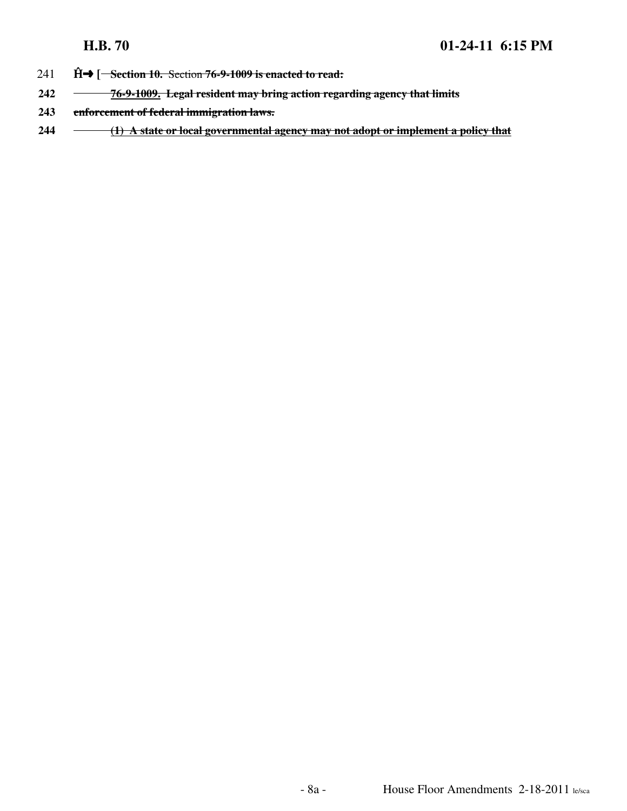- 241 **Ĥ→** [<del>Section 10. Section 76-9-1009 is enacted to read:</del>
- **242 76-9-1009. Legal resident may bring action regarding agency that limits**
- **243 enforcement of federal immigration laws.**
- **244 (1) A state or local governmental agency may not adopt or implement a policy that**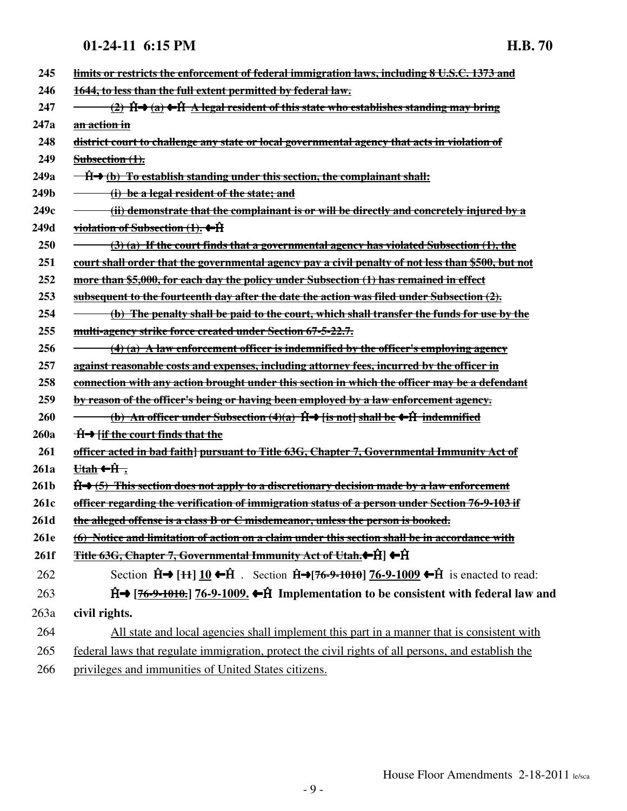| 245              | limits or restricts the enforcement of federal immigration laws, including 8 U.S.C. 1373 and                                         |
|------------------|--------------------------------------------------------------------------------------------------------------------------------------|
| 246              | 1644, to less than the full extent permitted by federal law.                                                                         |
| 247              | <u>(2) H→ (a) ←H<sup>2</sup> A legal resident of this state who establishes standing may bring</u>                                   |
| 247a             | an action in                                                                                                                         |
| 248              | <u>district court to challenge any state or local governmental agency that acts in violation of</u>                                  |
| 249              | Subsection $(1)$ .                                                                                                                   |
| 249a             | $\overrightarrow{H}$ (b) To establish standing under this section, the complainant shall:                                            |
| 249b             | (i) be a legal resident of the state; and                                                                                            |
| 249c             | (ii) demonstrate that the complainant is or will be directly and concretely injured by a                                             |
| 249d             | <u>violation of Subsection <math>(1)</math>.</u> $\leftarrow \hat{H}$                                                                |
| 250              | $(3)$ (a) If the court finds that a governmental agency has violated Subsection $(1)$ , the                                          |
| 251              | <u>court shall order that the governmental agency pay a civil penalty of not less than \$500, but not</u>                            |
| 252              | more than \$5,000, for each day the policy under Subsection (1) has remained in effect                                               |
| 253              | subsequent to the fourteenth day after the date the action was filed under Subsection $(2)$ .                                        |
| 254              | <u>(b) The penalty shall be paid to the court, which shall transfer the funds for use by the</u>                                     |
| 255              | multi-agency strike force created under Section 67-5-22.7.                                                                           |
| 256              | $\rightarrow$ (4) (a) A law enforcement officer is indemnified by the officer's employing agency                                     |
| 257              | <u>against reasonable costs and expenses, including attorney fees, incurred by the officer in</u>                                    |
| 258              | <u>connection with any action brought under this section in which the officer may be a defendant</u>                                 |
| 259              | by reason of the officer's being or having been employed by a law enforcement agency.                                                |
| 260              | (b) An officer under Subsection (4)(a) $\hat{H} \rightarrow$ [is not] shall be $\leftarrow \hat{H}$ indemnified                      |
| 260a             | $\hat{H}$ if the court finds that the                                                                                                |
| 261              | <u>officer acted in bad faith] pursuant to Title 63G, Chapter 7, Governmental Immunity Act of</u>                                    |
| 261a             | <del>Utah ←Ĥ.</del>                                                                                                                  |
| 261 <sub>b</sub> | $\hat{H}$ $\rightarrow$ (5) This section does not apply to a discretionary decision made by a law enforcement                        |
| 261c             | <u>officer regarding the verification of immigration status of a person under Section 76-9-103 if</u>                                |
| 261d             | <u>the alleged offense is a class B or C misdemeanor, unless the person is booked.</u>                                               |
| 261e             | (6) Notice and limitation of action on a claim under this section shall be in accordance with                                        |
| 261f             | <del>Title 63G, Chapter 7, Governmental Immunity Act of Utah.←Ĥ</del> ] ←Ĥ                                                           |
| 262              | Section $\hat{H}$ → [ $H$ ] $\underline{10}$ ← $\hat{H}$ . Section $\hat{H}$ → [76-9-1010] 76-9-1009 ← $\hat{H}$ is enacted to read: |
| 263              | $\hat{H}$ [76-9-1010.] 76-9-1009. $\leftarrow \hat{H}$ Implementation to be consistent with federal law and                          |
| 263a             | civil rights.                                                                                                                        |
| 264              | All state and local agencies shall implement this part in a manner that is consistent with                                           |
| 265              | federal laws that regulate immigration, protect the civil rights of all persons, and establish the                                   |
| 266              | privileges and immunities of United States citizens.                                                                                 |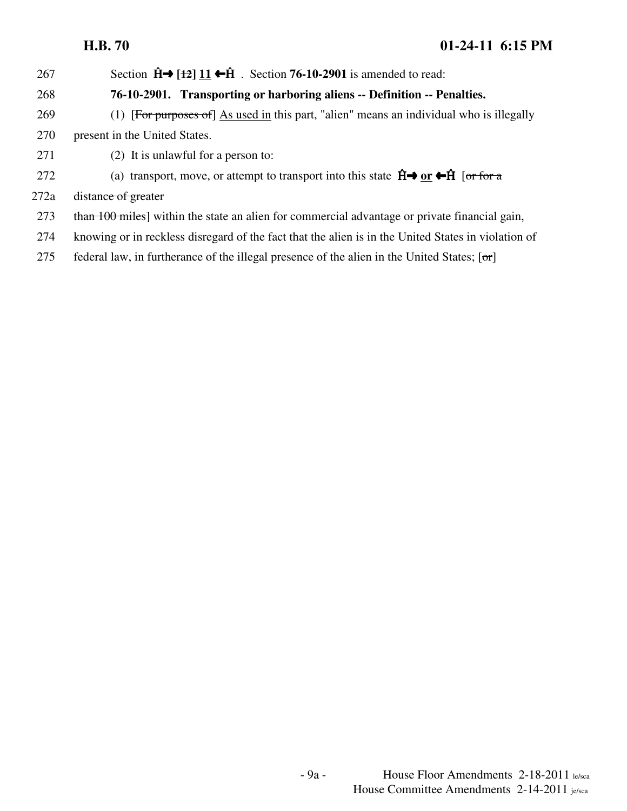267 Section  $\hat{H} \rightarrow [12] 11 \leftarrow \hat{H}$ . Section 76-10-2901 is amended to read:

### 268 **76-10-2901. Transporting or harboring aliens -- Definition -- Penalties.**

- 269 (1) [For purposes of] As used in this part, "alien" means an individual who is illegally 270 present in the United States.
- 271 (2) It is unlawful for a person to:
- 272 (a) transport, move, or attempt to transport into this state  $\hat{H} \rightarrow \text{or } \leftarrow \hat{H}$  [or for a

272a <del>distance of greater</del>

- 273 than 100 miles] within the state an alien for commercial advantage or private financial gain,
- 274 knowing or in reckless disregard of the fact that the alien is in the United States in violation of
- 275 federal law, in furtherance of the illegal presence of the alien in the United States;  $\lceil \sigma r \rceil$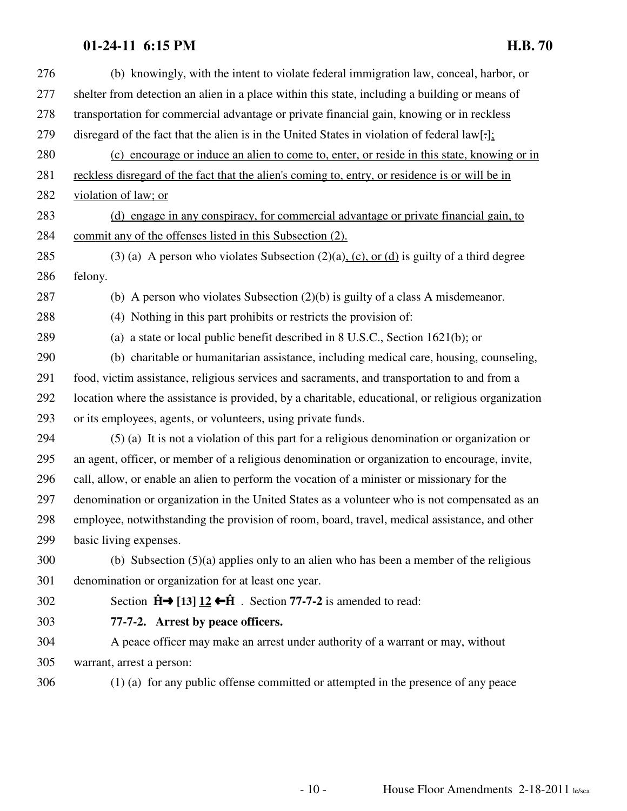| 276 | (b) knowingly, with the intent to violate federal immigration law, conceal, harbor, or              |
|-----|-----------------------------------------------------------------------------------------------------|
| 277 | shelter from detection an alien in a place within this state, including a building or means of      |
| 278 | transportation for commercial advantage or private financial gain, knowing or in reckless           |
| 279 | disregard of the fact that the alien is in the United States in violation of federal $law[\cdot]$ : |
| 280 | (c) encourage or induce an alien to come to, enter, or reside in this state, knowing or in          |
| 281 | reckless disregard of the fact that the alien's coming to, entry, or residence is or will be in     |
| 282 | violation of law; or                                                                                |
| 283 | (d) engage in any conspiracy, for commercial advantage or private financial gain, to                |
| 284 | commit any of the offenses listed in this Subsection (2).                                           |
| 285 | (3) (a) A person who violates Subsection $(2)(a)$ , $(c)$ , or $(d)$ is guilty of a third degree    |
| 286 | felony.                                                                                             |
| 287 | (b) A person who violates Subsection $(2)(b)$ is guilty of a class A misdemeanor.                   |
| 288 | (4) Nothing in this part prohibits or restricts the provision of:                                   |
| 289 | (a) a state or local public benefit described in $8$ U.S.C., Section 1621(b); or                    |
| 290 | (b) charitable or humanitarian assistance, including medical care, housing, counseling,             |
| 291 | food, victim assistance, religious services and sacraments, and transportation to and from a        |
| 292 | location where the assistance is provided, by a charitable, educational, or religious organization  |
| 293 | or its employees, agents, or volunteers, using private funds.                                       |
| 294 | $(5)$ (a) It is not a violation of this part for a religious denomination or organization or        |
| 295 | an agent, officer, or member of a religious denomination or organization to encourage, invite,      |
| 296 | call, allow, or enable an alien to perform the vocation of a minister or missionary for the         |
| 297 | denomination or organization in the United States as a volunteer who is not compensated as an       |
| 298 | employee, notwithstanding the provision of room, board, travel, medical assistance, and other       |
| 299 | basic living expenses.                                                                              |
| 300 | (b) Subsection $(5)(a)$ applies only to an alien who has been a member of the religious             |
| 301 | denomination or organization for at least one year.                                                 |
| 302 | Section $\hat{H} \rightarrow [+3] 12 \leftarrow \hat{H}$ . Section 77-7-2 is amended to read:       |
| 303 | 77-7-2. Arrest by peace officers.                                                                   |
| 304 | A peace officer may make an arrest under authority of a warrant or may, without                     |
| 305 | warrant, arrest a person:                                                                           |
| 306 | (1) (a) for any public offense committed or attempted in the presence of any peace                  |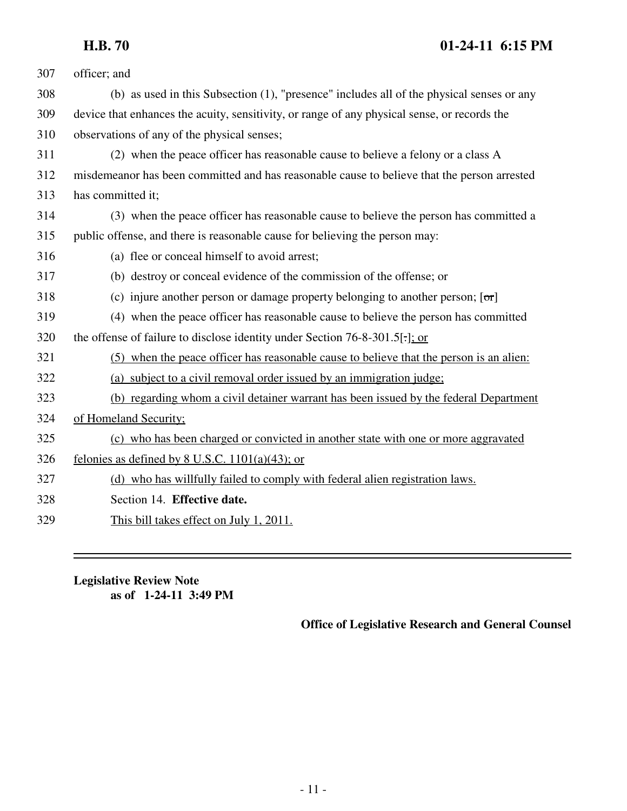| 307 | officer; and                                                                                 |
|-----|----------------------------------------------------------------------------------------------|
| 308 | (b) as used in this Subsection (1), "presence" includes all of the physical senses or any    |
| 309 | device that enhances the acuity, sensitivity, or range of any physical sense, or records the |
| 310 | observations of any of the physical senses;                                                  |
| 311 | (2) when the peace officer has reasonable cause to believe a felony or a class A             |
| 312 | misdemeanor has been committed and has reasonable cause to believe that the person arrested  |
| 313 | has committed it;                                                                            |
| 314 | (3) when the peace officer has reasonable cause to believe the person has committed a        |
| 315 | public offense, and there is reasonable cause for believing the person may:                  |
| 316 | (a) flee or conceal himself to avoid arrest;                                                 |
| 317 | (b) destroy or conceal evidence of the commission of the offense; or                         |
| 318 | (c) injure another person or damage property belonging to another person; $[\sigma r]$       |
| 319 | (4) when the peace officer has reasonable cause to believe the person has committed          |
| 320 | the offense of failure to disclose identity under Section 76-8-301.5. Cor-                   |
| 321 | (5) when the peace officer has reasonable cause to believe that the person is an alien:      |
| 322 | (a) subject to a civil removal order issued by an immigration judge;                         |
| 323 | (b) regarding whom a civil detainer warrant has been issued by the federal Department        |
| 324 | of Homeland Security;                                                                        |
| 325 | (c) who has been charged or convicted in another state with one or more aggravated           |
| 326 | felonies as defined by 8 U.S.C. $1101(a)(43)$ ; or                                           |
| 327 | (d) who has willfully failed to comply with federal alien registration laws.                 |
| 328 | Section 14. Effective date.                                                                  |
| 329 | This bill takes effect on July 1, 2011.                                                      |

**Legislative Review Note as of 1-24-11 3:49 PM**

**Office of Legislative Research and General Counsel**

-